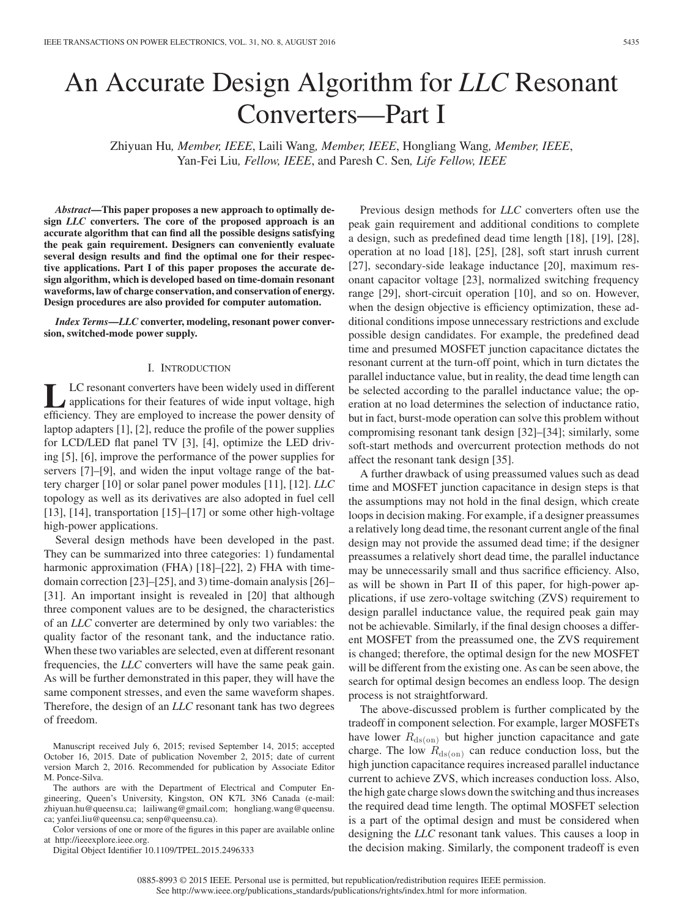# An Accurate Design Algorithm for *LLC* Resonant Converters—Part I

Zhiyuan Hu*, Member, IEEE*, Laili Wang*, Member, IEEE*, Hongliang Wang*, Member, IEEE*, Yan-Fei Liu*, Fellow, IEEE*, and Paresh C. Sen*, Life Fellow, IEEE*

*Abstract***—This paper proposes a new approach to optimally design** *LLC* **converters. The core of the proposed approach is an accurate algorithm that can find all the possible designs satisfying the peak gain requirement. Designers can conveniently evaluate several design results and find the optimal one for their respective applications. Part I of this paper proposes the accurate design algorithm, which is developed based on time-domain resonant waveforms, law of charge conservation, and conservation of energy. Design procedures are also provided for computer automation.**

*Index Terms***—***LLC* **converter, modeling, resonant power conversion, switched-mode power supply.**

### I. INTRODUCTION

LC resonant converters have been widely used in different<br>applications for their features of wide input voltage, high<br>afficiency. They are employed to increase the nower density of efficiency. They are employed to increase the power density of laptop adapters [1], [2], reduce the profile of the power supplies for LCD/LED flat panel TV [3], [4], optimize the LED driving [5], [6], improve the performance of the power supplies for servers [7]–[9], and widen the input voltage range of the battery charger [10] or solar panel power modules [11], [12]. *LLC* topology as well as its derivatives are also adopted in fuel cell [13], [14], transportation [15]–[17] or some other high-voltage high-power applications.

Several design methods have been developed in the past. They can be summarized into three categories: 1) fundamental harmonic approximation (FHA) [18]–[22], 2) FHA with timedomain correction [23]–[25], and 3) time-domain analysis [26]– [31]. An important insight is revealed in [20] that although three component values are to be designed, the characteristics of an *LLC* converter are determined by only two variables: the quality factor of the resonant tank, and the inductance ratio. When these two variables are selected, even at different resonant frequencies, the *LLC* converters will have the same peak gain. As will be further demonstrated in this paper, they will have the same component stresses, and even the same waveform shapes. Therefore, the design of an *LLC* resonant tank has two degrees of freedom.

Manuscript received July 6, 2015; revised September 14, 2015; accepted October 16, 2015. Date of publication November 2, 2015; date of current version March 2, 2016. Recommended for publication by Associate Editor M. Ponce-Silva.

The authors are with the Department of Electrical and Computer Engineering, Queen's University, Kingston, ON K7L 3N6 Canada (e-mail: zhiyuan.hu@queensu.ca; lailiwang@gmail.com; hongliang.wang@queensu. ca; yanfei.liu@queensu.ca; senp@queensu.ca).

Color versions of one or more of the figures in this paper are available online at http://ieeexplore.ieee.org.

Digital Object Identifier 10.1109/TPEL.2015.2496333

Previous design methods for *LLC* converters often use the peak gain requirement and additional conditions to complete a design, such as predefined dead time length [18], [19], [28], operation at no load [18], [25], [28], soft start inrush current [27], secondary-side leakage inductance [20], maximum resonant capacitor voltage [23], normalized switching frequency range [29], short-circuit operation [10], and so on. However, when the design objective is efficiency optimization, these additional conditions impose unnecessary restrictions and exclude possible design candidates. For example, the predefined dead time and presumed MOSFET junction capacitance dictates the resonant current at the turn-off point, which in turn dictates the parallel inductance value, but in reality, the dead time length can be selected according to the parallel inductance value; the operation at no load determines the selection of inductance ratio, but in fact, burst-mode operation can solve this problem without compromising resonant tank design [32]–[34]; similarly, some soft-start methods and overcurrent protection methods do not affect the resonant tank design [35].

A further drawback of using preassumed values such as dead time and MOSFET junction capacitance in design steps is that the assumptions may not hold in the final design, which create loops in decision making. For example, if a designer preassumes a relatively long dead time, the resonant current angle of the final design may not provide the assumed dead time; if the designer preassumes a relatively short dead time, the parallel inductance may be unnecessarily small and thus sacrifice efficiency. Also, as will be shown in Part II of this paper, for high-power applications, if use zero-voltage switching (ZVS) requirement to design parallel inductance value, the required peak gain may not be achievable. Similarly, if the final design chooses a different MOSFET from the preassumed one, the ZVS requirement is changed; therefore, the optimal design for the new MOSFET will be different from the existing one. As can be seen above, the search for optimal design becomes an endless loop. The design process is not straightforward.

The above-discussed problem is further complicated by the tradeoff in component selection. For example, larger MOSFETs have lower  $R_{\text{ds}(on)}$  but higher junction capacitance and gate charge. The low  $R_{\text{ds}(on)}$  can reduce conduction loss, but the high junction capacitance requires increased parallel inductance current to achieve ZVS, which increases conduction loss. Also, the high gate charge slows down the switching and thus increases the required dead time length. The optimal MOSFET selection is a part of the optimal design and must be considered when designing the *LLC* resonant tank values. This causes a loop in the decision making. Similarly, the component tradeoff is even

0885-8993 © 2015 IEEE. Personal use is permitted, but republication/redistribution requires IEEE permission. See http://www.ieee.org/publications\_standards/publications/rights/index.html for more information.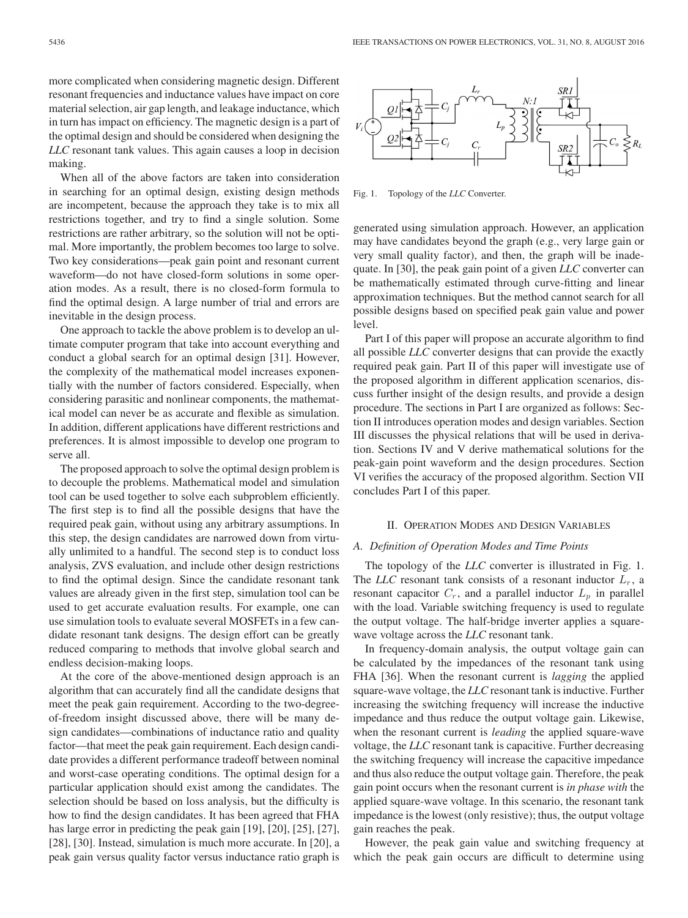more complicated when considering magnetic design. Different resonant frequencies and inductance values have impact on core material selection, air gap length, and leakage inductance, which in turn has impact on efficiency. The magnetic design is a part of the optimal design and should be considered when designing the *LLC* resonant tank values. This again causes a loop in decision making.

When all of the above factors are taken into consideration in searching for an optimal design, existing design methods are incompetent, because the approach they take is to mix all restrictions together, and try to find a single solution. Some restrictions are rather arbitrary, so the solution will not be optimal. More importantly, the problem becomes too large to solve. Two key considerations—peak gain point and resonant current waveform—do not have closed-form solutions in some operation modes. As a result, there is no closed-form formula to find the optimal design. A large number of trial and errors are inevitable in the design process.

One approach to tackle the above problem is to develop an ultimate computer program that take into account everything and conduct a global search for an optimal design [31]. However, the complexity of the mathematical model increases exponentially with the number of factors considered. Especially, when considering parasitic and nonlinear components, the mathematical model can never be as accurate and flexible as simulation. In addition, different applications have different restrictions and preferences. It is almost impossible to develop one program to serve all.

The proposed approach to solve the optimal design problem is to decouple the problems. Mathematical model and simulation tool can be used together to solve each subproblem efficiently. The first step is to find all the possible designs that have the required peak gain, without using any arbitrary assumptions. In this step, the design candidates are narrowed down from virtually unlimited to a handful. The second step is to conduct loss analysis, ZVS evaluation, and include other design restrictions to find the optimal design. Since the candidate resonant tank values are already given in the first step, simulation tool can be used to get accurate evaluation results. For example, one can use simulation tools to evaluate several MOSFETs in a few candidate resonant tank designs. The design effort can be greatly reduced comparing to methods that involve global search and endless decision-making loops.

At the core of the above-mentioned design approach is an algorithm that can accurately find all the candidate designs that meet the peak gain requirement. According to the two-degreeof-freedom insight discussed above, there will be many design candidates—combinations of inductance ratio and quality factor—that meet the peak gain requirement. Each design candidate provides a different performance tradeoff between nominal and worst-case operating conditions. The optimal design for a particular application should exist among the candidates. The selection should be based on loss analysis, but the difficulty is how to find the design candidates. It has been agreed that FHA has large error in predicting the peak gain [19], [20], [25], [27], [28], [30]. Instead, simulation is much more accurate. In [20], a peak gain versus quality factor versus inductance ratio graph is



Fig. 1. Topology of the *LLC* Converter.

generated using simulation approach. However, an application may have candidates beyond the graph (e.g., very large gain or very small quality factor), and then, the graph will be inadequate. In [30], the peak gain point of a given *LLC* converter can be mathematically estimated through curve-fitting and linear approximation techniques. But the method cannot search for all possible designs based on specified peak gain value and power level.

Part I of this paper will propose an accurate algorithm to find all possible *LLC* converter designs that can provide the exactly required peak gain. Part II of this paper will investigate use of the proposed algorithm in different application scenarios, discuss further insight of the design results, and provide a design procedure. The sections in Part I are organized as follows: Section II introduces operation modes and design variables. Section III discusses the physical relations that will be used in derivation. Sections IV and V derive mathematical solutions for the peak-gain point waveform and the design procedures. Section VI verifies the accuracy of the proposed algorithm. Section VII concludes Part I of this paper.

#### II. OPERATION MODES AND DESIGN VARIABLES

## *A. Definition of Operation Modes and Time Points*

The topology of the *LLC* converter is illustrated in Fig. 1. The *LLC* resonant tank consists of a resonant inductor  $L_r$ , a resonant capacitor  $C_r$ , and a parallel inductor  $L_p$  in parallel with the load. Variable switching frequency is used to regulate the output voltage. The half-bridge inverter applies a squarewave voltage across the *LLC* resonant tank.

In frequency-domain analysis, the output voltage gain can be calculated by the impedances of the resonant tank using FHA [36]. When the resonant current is *lagging* the applied square-wave voltage, the *LLC* resonant tank is inductive. Further increasing the switching frequency will increase the inductive impedance and thus reduce the output voltage gain. Likewise, when the resonant current is *leading* the applied square-wave voltage, the *LLC* resonant tank is capacitive. Further decreasing the switching frequency will increase the capacitive impedance and thus also reduce the output voltage gain. Therefore, the peak gain point occurs when the resonant current is *in phase with* the applied square-wave voltage. In this scenario, the resonant tank impedance is the lowest (only resistive); thus, the output voltage gain reaches the peak.

However, the peak gain value and switching frequency at which the peak gain occurs are difficult to determine using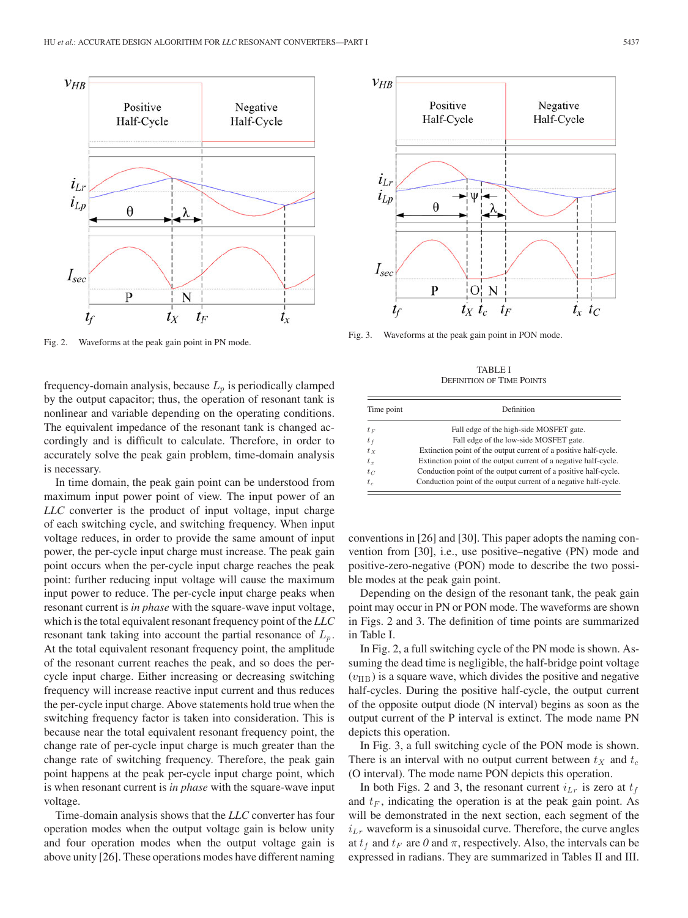

Fig. 2. Waveforms at the peak gain point in PN mode.

frequency-domain analysis, because  $L_p$  is periodically clamped by the output capacitor; thus, the operation of resonant tank is nonlinear and variable depending on the operating conditions. The equivalent impedance of the resonant tank is changed accordingly and is difficult to calculate. Therefore, in order to accurately solve the peak gain problem, time-domain analysis is necessary.

In time domain, the peak gain point can be understood from maximum input power point of view. The input power of an *LLC* converter is the product of input voltage, input charge of each switching cycle, and switching frequency. When input voltage reduces, in order to provide the same amount of input power, the per-cycle input charge must increase. The peak gain point occurs when the per-cycle input charge reaches the peak point: further reducing input voltage will cause the maximum input power to reduce. The per-cycle input charge peaks when resonant current is *in phase* with the square-wave input voltage, which is the total equivalent resonant frequency point of the *LLC* resonant tank taking into account the partial resonance of  $L_p$ . At the total equivalent resonant frequency point, the amplitude of the resonant current reaches the peak, and so does the percycle input charge. Either increasing or decreasing switching frequency will increase reactive input current and thus reduces the per-cycle input charge. Above statements hold true when the switching frequency factor is taken into consideration. This is because near the total equivalent resonant frequency point, the change rate of per-cycle input charge is much greater than the change rate of switching frequency. Therefore, the peak gain point happens at the peak per-cycle input charge point, which is when resonant current is *in phase* with the square-wave input voltage.

Time-domain analysis shows that the *LLC* converter has four operation modes when the output voltage gain is below unity and four operation modes when the output voltage gain is above unity [26]. These operations modes have different naming



Fig. 3. Waveforms at the peak gain point in PON mode.

TABLE I DEFINITION OF TIME POINTS

| Time point | Definition                                                       |  |
|------------|------------------------------------------------------------------|--|
| $t_F$      | Fall edge of the high-side MOSFET gate.                          |  |
| $t_f$      | Fall edge of the low-side MOSFET gate.                           |  |
| $t_{X}$    | Extinction point of the output current of a positive half-cycle. |  |
| $t_x$      | Extinction point of the output current of a negative half-cycle. |  |
| $t_C$      | Conduction point of the output current of a positive half-cycle. |  |
| $t_{c}$    | Conduction point of the output current of a negative half-cycle. |  |

conventions in [26] and [30]. This paper adopts the naming convention from [30], i.e., use positive–negative (PN) mode and positive-zero-negative (PON) mode to describe the two possible modes at the peak gain point.

Depending on the design of the resonant tank, the peak gain point may occur in PN or PON mode. The waveforms are shown in Figs. 2 and 3. The definition of time points are summarized in Table I.

In Fig. 2, a full switching cycle of the PN mode is shown. Assuming the dead time is negligible, the half-bridge point voltage  $(v_{HB})$  is a square wave, which divides the positive and negative half-cycles. During the positive half-cycle, the output current of the opposite output diode (N interval) begins as soon as the output current of the P interval is extinct. The mode name PN depicts this operation.

In Fig. 3, a full switching cycle of the PON mode is shown. There is an interval with no output current between  $t<sub>X</sub>$  and  $t<sub>c</sub>$ (O interval). The mode name PON depicts this operation.

In both Figs. 2 and 3, the resonant current  $i_{Lr}$  is zero at  $t_f$ and  $t_F$ , indicating the operation is at the peak gain point. As will be demonstrated in the next section, each segment of the  $i_{Lr}$  waveform is a sinusoidal curve. Therefore, the curve angles at  $t_f$  and  $t_F$  are 0 and  $\pi$ , respectively. Also, the intervals can be expressed in radians. They are summarized in Tables II and III.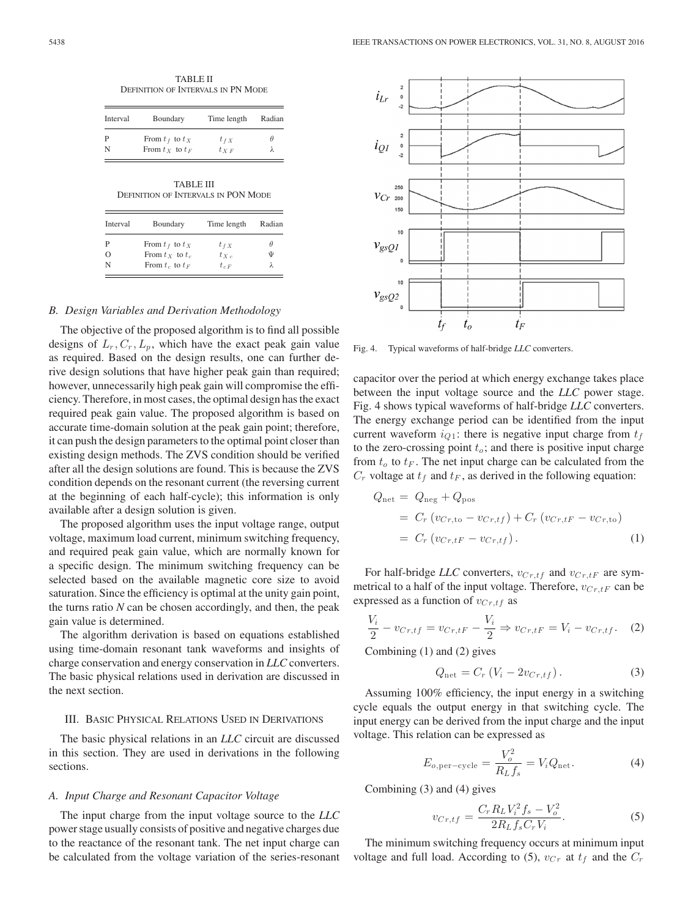| <b>TABLE II</b>                    |
|------------------------------------|
| DEFINITION OF INTERVALS IN PN MODE |

| Interval | Boundary            | Time length | Radian |
|----------|---------------------|-------------|--------|
|          | From $t_f$ to $t_X$ | $t_{fX}$    | θ      |
|          | From $t_x$ to $t_F$ | $t_{X,F}$   |        |

TABLE III DEFINITION OF INTERVALS IN PON MODE

| Interval | Boundary            | Time length | Radian |
|----------|---------------------|-------------|--------|
| P        | From $t_f$ to $t_X$ | $t_{fX}$    |        |
| $\Omega$ | From $t_X$ to $t_c$ | $t_{Xc}$    | Φ      |
| N        | From $t_c$ to $t_F$ | $t_{c}F$    |        |

## *B. Design Variables and Derivation Methodology*

The objective of the proposed algorithm is to find all possible designs of  $L_r$ ,  $C_r$ ,  $L_p$ , which have the exact peak gain value as required. Based on the design results, one can further derive design solutions that have higher peak gain than required; however, unnecessarily high peak gain will compromise the efficiency. Therefore, in most cases, the optimal design has the exact required peak gain value. The proposed algorithm is based on accurate time-domain solution at the peak gain point; therefore, it can push the design parameters to the optimal point closer than existing design methods. The ZVS condition should be verified after all the design solutions are found. This is because the ZVS condition depends on the resonant current (the reversing current at the beginning of each half-cycle); this information is only available after a design solution is given.

The proposed algorithm uses the input voltage range, output voltage, maximum load current, minimum switching frequency, and required peak gain value, which are normally known for a specific design. The minimum switching frequency can be selected based on the available magnetic core size to avoid saturation. Since the efficiency is optimal at the unity gain point, the turns ratio *N* can be chosen accordingly, and then, the peak gain value is determined.

The algorithm derivation is based on equations established using time-domain resonant tank waveforms and insights of charge conservation and energy conservation in *LLC* converters. The basic physical relations used in derivation are discussed in the next section.

# III. BASIC PHYSICAL RELATIONS USED IN DERIVATIONS

The basic physical relations in an *LLC* circuit are discussed in this section. They are used in derivations in the following sections.

## *A. Input Charge and Resonant Capacitor Voltage*

The input charge from the input voltage source to the *LLC* power stage usually consists of positive and negative charges due to the reactance of the resonant tank. The net input charge can be calculated from the voltage variation of the series-resonant



Fig. 4. Typical waveforms of half-bridge *LLC* converters.

capacitor over the period at which energy exchange takes place between the input voltage source and the *LLC* power stage. Fig. 4 shows typical waveforms of half-bridge *LLC* converters. The energy exchange period can be identified from the input current waveform  $i_{Q1}$ : there is negative input charge from  $t_f$ to the zero-crossing point  $t_o$ ; and there is positive input charge from  $t<sub>o</sub>$  to  $t<sub>F</sub>$ . The net input charge can be calculated from the  $C_r$  voltage at  $t_f$  and  $t_F$ , as derived in the following equation:

$$
Q_{\text{net}} = Q_{\text{neg}} + Q_{\text{pos}}
$$
  
=  $C_r (v_{Cr, \text{to}} - v_{Cr, tf}) + C_r (v_{Cr, tF} - v_{Cr, \text{to}})$   
=  $C_r (v_{Cr, tF} - v_{Cr, tf}).$  (1)

For half-bridge *LLC* converters,  $v_{Cr,tf}$  and  $v_{Cr,tf}$  are symmetrical to a half of the input voltage. Therefore,  $v_{Cr,tF}$  can be expressed as a function of  $v_{Cr,tf}$  as

$$
\frac{V_i}{2} - v_{Cr,tf} = v_{Cr,tF} - \frac{V_i}{2} \Rightarrow v_{Cr,tF} = V_i - v_{Cr,tf}.
$$
 (2)

Combining (1) and (2) gives

$$
Q_{\text{net}} = C_r \left( V_i - 2v_{Cr, tf} \right). \tag{3}
$$

Assuming 100% efficiency, the input energy in a switching cycle equals the output energy in that switching cycle. The input energy can be derived from the input charge and the input voltage. This relation can be expressed as

$$
E_{o,\text{per-cycle}} = \frac{V_o^2}{R_L f_s} = V_i Q_{\text{net}}.\tag{4}
$$

Combining (3) and (4) gives

$$
v_{Cr,tf} = \frac{C_r R_L V_i^2 f_s - V_o^2}{2R_L f_s C_r V_i}.
$$
\n(5)

The minimum switching frequency occurs at minimum input voltage and full load. According to (5),  $v_{Cr}$  at  $t_f$  and the  $C_r$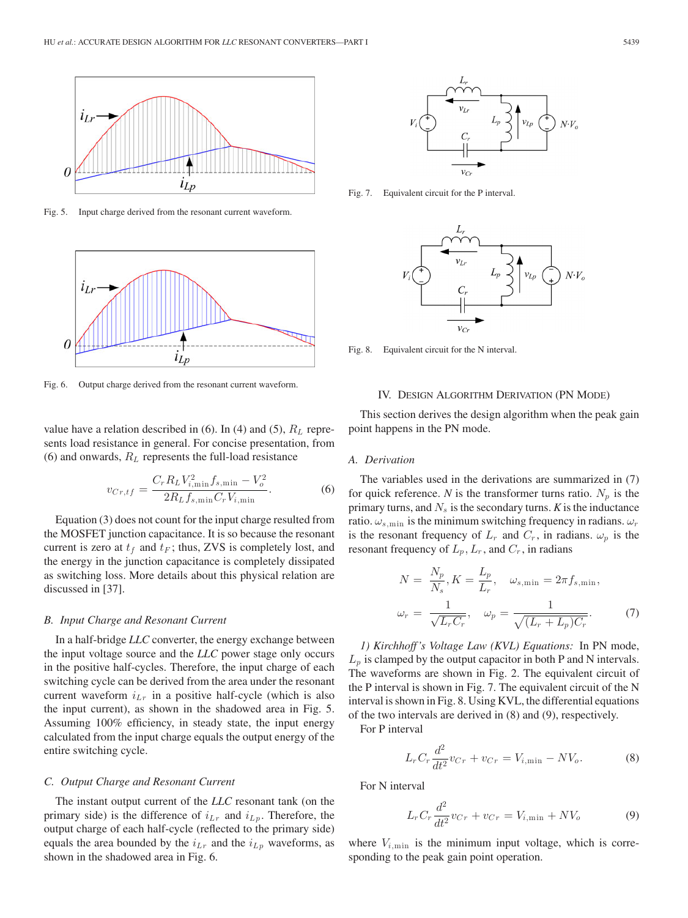

Fig. 5. Input charge derived from the resonant current waveform.



Fig. 6. Output charge derived from the resonant current waveform.

value have a relation described in (6). In (4) and (5),  $R_L$  represents load resistance in general. For concise presentation, from (6) and onwards,  $R_L$  represents the full-load resistance

$$
v_{Cr,tf} = \frac{C_r R_L V_{i,\min}^2 f_{s,\min} - V_o^2}{2R_L f_{s,\min} C_r V_{i,\min}}.
$$
 (6)

Equation (3) does not count for the input charge resulted from the MOSFET junction capacitance. It is so because the resonant current is zero at  $t_f$  and  $t_F$ ; thus, ZVS is completely lost, and the energy in the junction capacitance is completely dissipated as switching loss. More details about this physical relation are discussed in [37].

#### *B. Input Charge and Resonant Current*

In a half-bridge *LLC* converter, the energy exchange between the input voltage source and the *LLC* power stage only occurs in the positive half-cycles. Therefore, the input charge of each switching cycle can be derived from the area under the resonant current waveform  $i_{Lr}$  in a positive half-cycle (which is also the input current), as shown in the shadowed area in Fig. 5. Assuming 100% efficiency, in steady state, the input energy calculated from the input charge equals the output energy of the entire switching cycle.

## *C. Output Charge and Resonant Current*

The instant output current of the *LLC* resonant tank (on the primary side) is the difference of  $i_{Lr}$  and  $i_{Lp}$ . Therefore, the output charge of each half-cycle (reflected to the primary side) equals the area bounded by the  $i_{Lr}$  and the  $i_{Lp}$  waveforms, as shown in the shadowed area in Fig. 6.



Fig. 7. Equivalent circuit for the P interval.



Fig. 8. Equivalent circuit for the N interval.

## IV. DESIGN ALGORITHM DERIVATION (PN MODE)

This section derives the design algorithm when the peak gain point happens in the PN mode.

# *A. Derivation*

The variables used in the derivations are summarized in (7) for quick reference. *N* is the transformer turns ratio.  $N_p$  is the primary turns, and  $N_s$  is the secondary turns.  $K$  is the inductance ratio.  $\omega_{s,\text{min}}$  is the minimum switching frequency in radians.  $\omega_r$ is the resonant frequency of  $L_r$  and  $C_r$ , in radians.  $\omega_p$  is the resonant frequency of  $L_p$ ,  $L_r$ , and  $C_r$ , in radians

$$
N = \frac{N_p}{N_s}, K = \frac{L_p}{L_r}, \quad \omega_{s,\min} = 2\pi f_{s,\min},
$$

$$
\omega_r = \frac{1}{\sqrt{L_r C_r}}, \quad \omega_p = \frac{1}{\sqrt{(L_r + L_p)C_r}}.
$$
(7)

*1) Kirchhoff's Voltage Law (KVL) Equations:* In PN mode,  $L_p$  is clamped by the output capacitor in both P and N intervals. The waveforms are shown in Fig. 2. The equivalent circuit of the P interval is shown in Fig. 7. The equivalent circuit of the N interval is shown in Fig. 8. Using KVL, the differential equations of the two intervals are derived in (8) and (9), respectively.

For P interval

$$
L_r C_r \frac{d^2}{dt^2} v_{Cr} + v_{Cr} = V_{i, \min} - NV_o.
$$
 (8)

For N interval

$$
L_r C_r \frac{d^2}{dt^2} v_{Cr} + v_{Cr} = V_{i, \min} + NV_o
$$
 (9)

where  $V_{i,\text{min}}$  is the minimum input voltage, which is corresponding to the peak gain point operation.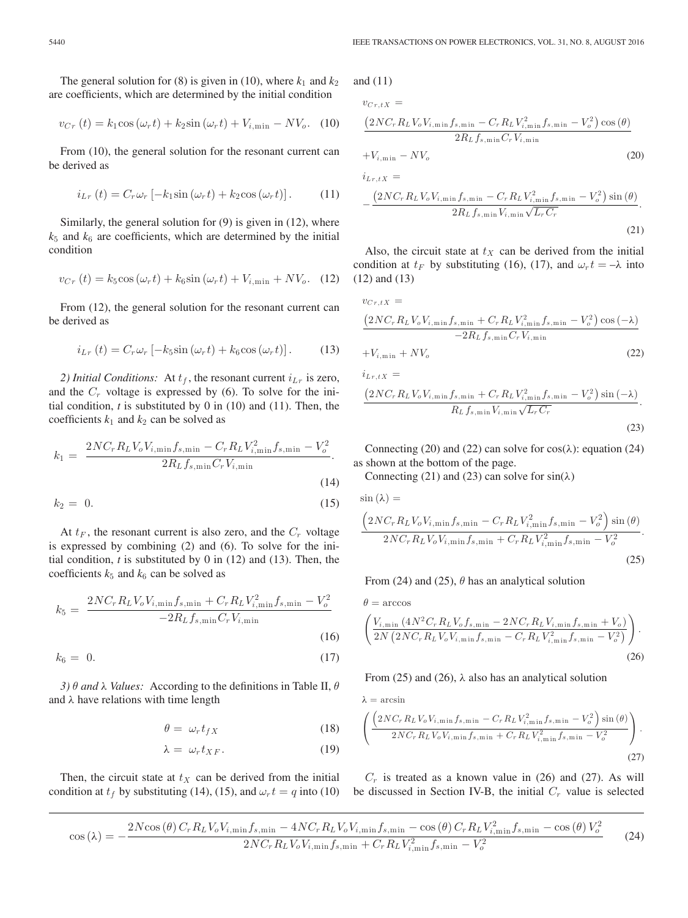The general solution for (8) is given in (10), where  $k_1$  and  $k_2$ are coefficients, which are determined by the initial condition

$$
v_{Cr}(t) = k_1 \cos(\omega_r t) + k_2 \sin(\omega_r t) + V_{i,\min} - NV_o.
$$
 (10)

From  $(10)$ , the general solution for the resonant current can be derived as

$$
i_{Lr}(t) = C_r \omega_r \left[ -k_1 \sin(\omega_r t) + k_2 \cos(\omega_r t) \right]. \tag{11}
$$

Similarly, the general solution for (9) is given in (12), where  $k_5$  and  $k_6$  are coefficients, which are determined by the initial condition

$$
v_{Cr}(t) = k_5 \cos(\omega_r t) + k_6 \sin(\omega_r t) + V_{i,\min} + NV_o.
$$
 (12)

From  $(12)$ , the general solution for the resonant current can be derived as

$$
i_{Lr}(t) = C_r \omega_r \left[ -k_5 \sin(\omega_r t) + k_6 \cos(\omega_r t) \right]. \tag{13}
$$

*2) Initial Conditions:* At  $t_f$ , the resonant current  $i_{Lr}$  is zero, and the  $C_r$  voltage is expressed by (6). To solve for the initial condition, *t* is substituted by 0 in (10) and (11). Then, the coefficients  $k_1$  and  $k_2$  can be solved as

$$
k_1 = \frac{2NC_rR_LV_oV_{i,\min}f_{s,\min} - C_rR_LV_{i,\min}^2f_{s,\min} - V_o^2}{2R_Lf_{s,\min}C_rV_{i,\min}}.
$$
\n(14)

$$
k_2 = 0. \tag{15}
$$

At  $t_F$ , the resonant current is also zero, and the  $C_r$  voltage is expressed by combining (2) and (6). To solve for the initial condition, *t* is substituted by 0 in (12) and (13). Then, the coefficients  $k_5$  and  $k_6$  can be solved as

$$
k_5 = \frac{2NC_rR_LV_oV_{i,\min}f_{s,\min} + C_rR_LV_{i,\min}^2f_{s,\min} - V_o^2}{-2R_Lf_{s,\min}C_rV_{i,\min}}
$$
(16)

$$
k_6 = 0. \tag{17}
$$

*3)* θ *and* λ *Values:* According to the definitions in Table II, θ and  $\lambda$  have relations with time length

$$
\theta = \omega_r t_{fX} \tag{18}
$$

$$
\lambda = \omega_r t_{XF}.\tag{19}
$$

Then, the circuit state at  $t_X$  can be derived from the initial condition at  $t_f$  by substituting (14), (15), and  $\omega_r t = q$  into (10) and (11)

 $\cdot$  (λ)

$$
v_{Cr,tX} = \frac{(2NC_rR_LV_oV_{i,\min}f_{s,\min} - C_rR_LV_{i,\min}^2f_{s,\min} - V_o^2)\cos(\theta)}{2R_Lf_{s,\min}C_rV_{i,\min}}
$$
  
+ $V_{i,\min} - NV_o$  (20)

$$
i_{Lr,tX} =
$$

$$
-\frac{\left(2NC_{r}R_{L}V_{o}V_{i,\min}f_{s,\min}-C_{r}R_{L}V_{i,\min}^{2}f_{s,\min}-V_{o}^{2}\right)\sin\left(\theta\right)}{2R_{L}f_{s,\min}V_{i,\min}\sqrt{L_{r}C_{r}}}
$$
\n(21)

Also, the circuit state at  $t_X$  can be derived from the initial condition at  $t_F$  by substituting (16), (17), and  $\omega_r t = -\lambda$  into (12) and (13)

$$
v_{C r, tX} =
$$
\n
$$
\frac{(2NC_r R_L V_o V_{i, \min} f_{s, \min} + C_r R_L V_{i, \min}^2 f_{s, \min} - V_o^2) \cos(-\lambda)}{-2R_L f_{s, \min} C_r V_{i, \min}}
$$
\n
$$
+V_{i, \min} + NV_o
$$
\n(22)\n
$$
i_{L r, tX} =
$$

$$
\frac{\left(2NC_rR_LV_oV_{i,\min}f_{s,\min} + C_rR_LV_{i,\min}^2f_{s,\min} - V_o^2\right)\sin\left(-\lambda\right)}{R_Lf_{s,\min}V_{i,\min}\sqrt{L_rC_r}}.
$$
\n(23)

Connecting (20) and (22) can solve for  $cos(\lambda)$ : equation (24) as shown at the bottom of the page.

Connecting (21) and (23) can solve for  $sin(\lambda)$ 

$$
\sin(\lambda) = \frac{\left(2NC_{r}R_{L}V_{o}V_{i,\min}f_{s,\min} - C_{r}R_{L}V_{i,\min}^{2}f_{s,\min} - V_{o}^{2}\right)\sin(\theta)}{2NC_{r}R_{L}V_{o}V_{i,\min}f_{s,\min} + C_{r}R_{L}V_{i,\min}^{2}f_{s,\min} - V_{o}^{2}}.
$$
\n(25)

From (24) and (25),  $\theta$  has an analytical solution

$$
\theta = \arccos
$$
  
\n
$$
\left(\frac{V_{i,\min} (4N^2C_r R_L V_o f_{s,\min} - 2NC_r R_L V_{i,\min} f_{s,\min} + V_o)}{2N (2NC_r R_L V_o V_{i,\min} f_{s,\min} - C_r R_L V_{i,\min}^2 f_{s,\min} - V_o^2)}\right).
$$
\n(26)

## From (25) and (26),  $\lambda$  also has an analytical solution

$$
\lambda = \arcsin \left( \frac{\left( 2NC_r R_L V_o V_{i,\min} f_{s,\min} - C_r R_L V_{i,\min}^2 f_{s,\min} - V_o^2 \right) \sin (\theta)}{2NC_r R_L V_o V_{i,\min} f_{s,\min} + C_r R_L V_{i,\min}^2 f_{s,\min} - V_o^2} \right).
$$
\n(27)

 $C_r$  is treated as a known value in (26) and (27). As will be discussed in Section IV-B, the initial  $C_r$  value is selected

$$
\cos\left(\lambda\right) = -\frac{2N\cos\left(\theta\right)C_rR_LV_oV_{i,\min}f_{s,\min} - 4NC_rR_LV_oV_{i,\min}f_{s,\min} - \cos\left(\theta\right)C_rR_LV_{i,\min}^2f_{s,\min} - \cos\left(\theta\right)V_o^2}{2NC_rR_LV_oV_{i,\min}f_{s,\min} + C_rR_LV_{i,\min}^2f_{s,\min} - V_o^2} \tag{24}
$$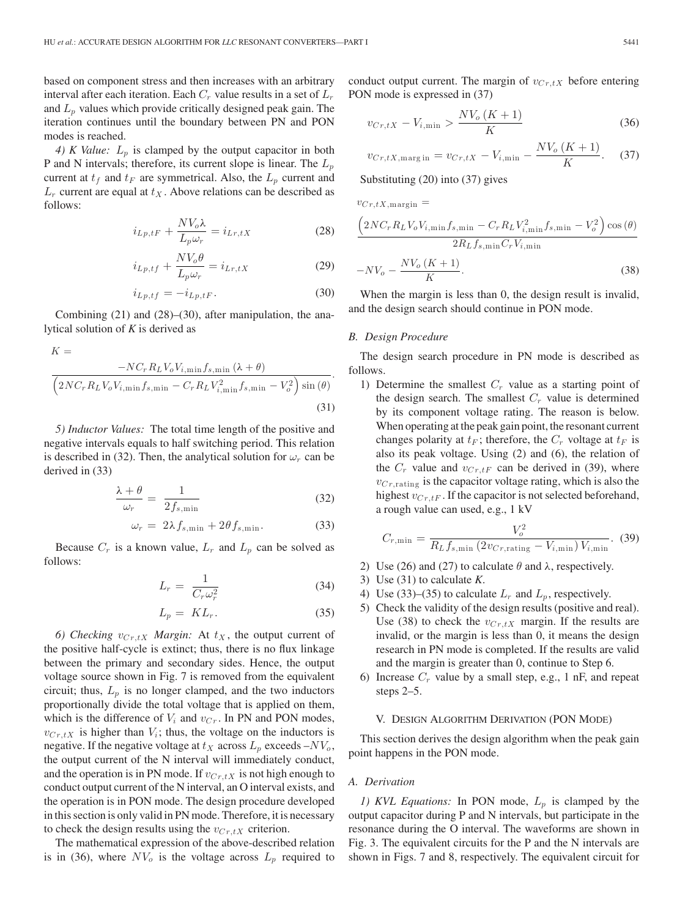based on component stress and then increases with an arbitrary interval after each iteration. Each  $C_r$  value results in a set of  $L_r$ and  $L_p$  values which provide critically designed peak gain. The iteration continues until the boundary between PN and PON modes is reached.

*4) K Value:*  $L_p$  is clamped by the output capacitor in both P and N intervals; therefore, its current slope is linear. The  $L_p$ current at  $t_f$  and  $t_F$  are symmetrical. Also, the  $L_p$  current and  $L_r$  current are equal at  $t_X$ . Above relations can be described as follows:

$$
i_{Lp,tF} + \frac{NV_o\lambda}{L_p\omega_r} = i_{Lr,tX}
$$
 (28)

$$
i_{Lp,tf} + \frac{NV_o\theta}{L_p\omega_r} = i_{Lr,tX}
$$
\n(29)

$$
i_{Lp,tf} = -i_{Lp, tF}.\tag{30}
$$

Combining (21) and (28)–(30), after manipulation, the analytical solution of *K* is derived as

$$
K = -NC_r R_L V_o V_{i, \min} f_{s, \min} (\lambda + \theta)
$$

$$
\left(2NC_r R_L V_o V_{i, \min} f_{s, \min} - C_r R_L V_{i, \min}^2 f_{s, \min} - V_o^2\right) \sin(\theta).
$$

$$
(31)
$$

*5) Inductor Values:* The total time length of the positive and negative intervals equals to half switching period. This relation is described in (32). Then, the analytical solution for  $\omega_r$  can be derived in (33)

$$
\frac{\lambda + \theta}{\omega_r} = \frac{1}{2f_{s,\min}}\tag{32}
$$

$$
\omega_r = 2\lambda f_{s,\min} + 2\theta f_{s,\min}.\tag{33}
$$

Because  $C_r$  is a known value,  $L_r$  and  $L_p$  can be solved as follows:

$$
L_r = \frac{1}{C_r \omega_r^2} \tag{34}
$$

$$
L_p = KL_r. \t\t(35)
$$

*6) Checking*  $v_{Cr,tX}$  *Margin:* At  $t_X$ , the output current of the positive half-cycle is extinct; thus, there is no flux linkage between the primary and secondary sides. Hence, the output voltage source shown in Fig. 7 is removed from the equivalent circuit; thus,  $L_p$  is no longer clamped, and the two inductors proportionally divide the total voltage that is applied on them, which is the difference of  $V_i$  and  $v_{Cr}$ . In PN and PON modes,  $v_{Cr,tX}$  is higher than  $V_i$ ; thus, the voltage on the inductors is negative. If the negative voltage at  $t_X$  across  $L_p$  exceeds  $-NV_o$ , the output current of the N interval will immediately conduct, and the operation is in PN mode. If  $v_{Cr,tX}$  is not high enough to conduct output current of the N interval, an O interval exists, and the operation is in PON mode. The design procedure developed in this section is only valid in PN mode. Therefore, it is necessary to check the design results using the  $v_{Cr,tX}$  criterion.

The mathematical expression of the above-described relation is in (36), where  $NV<sub>o</sub>$  is the voltage across  $L<sub>p</sub>$  required to conduct output current. The margin of  $v_{Cr,tX}$  before entering PON mode is expressed in (37)

$$
v_{Cr,tX} - V_{i,\min} > \frac{NV_o\left(K+1\right)}{K}
$$
\n(36)

$$
v_{Cr,tX,\text{marg in}} = v_{Cr,tX} - V_{i,\text{min}} - \frac{NV_o\left(K+1\right)}{K}.\tag{37}
$$

Substituting (20) into (37) gives

$$
\frac{\left(2NC_{r}R_{L}V_{o}V_{i,\min}f_{s,\min} - C_{r}R_{L}V_{i,\min}^{2}f_{s,\min} - V_{o}^{2}\right)\cos(\theta)}{2R_{L}f_{s,\min}C_{r}V_{i,\min}} - NV_{o} - \frac{NV_{o}(K+1)}{K}.
$$
\n(38)

When the margin is less than 0, the design result is invalid, and the design search should continue in PON mode.

## *B. Design Procedure*

 $v_{Cr}$  + Y margin  $=$ 

The design search procedure in PN mode is described as follows.

1) Determine the smallest  $C_r$  value as a starting point of the design search. The smallest  $C_r$  value is determined by its component voltage rating. The reason is below. When operating at the peak gain point, the resonant current changes polarity at  $t_F$ ; therefore, the  $C_r$  voltage at  $t_F$  is also its peak voltage. Using (2) and (6), the relation of the  $C_r$  value and  $v_{Cr,tF}$  can be derived in (39), where  $v_{Cr,\text{rating}}$  is the capacitor voltage rating, which is also the highest  $v_{Cr,tF}$ . If the capacitor is not selected beforehand, a rough value can used, e.g., 1 kV

$$
C_{r,\min} = \frac{V_o^2}{R_L f_{s,\min} (2v_{Cr,\text{rating}} - V_{i,\min}) V_{i,\min}}.
$$
 (39)

- 2) Use (26) and (27) to calculate  $\theta$  and  $\lambda$ , respectively.
- 3) Use (31) to calculate *K*.
- 4) Use (33)–(35) to calculate  $L_r$  and  $L_p$ , respectively.
- 5) Check the validity of the design results (positive and real). Use (38) to check the  $v_{Cr,tX}$  margin. If the results are invalid, or the margin is less than 0, it means the design research in PN mode is completed. If the results are valid and the margin is greater than 0, continue to Step 6.
- 6) Increase  $C_r$  value by a small step, e.g., 1 nF, and repeat steps 2–5.

# V. DESIGN ALGORITHM DERIVATION (PON MODE)

This section derives the design algorithm when the peak gain point happens in the PON mode.

## *A. Derivation*

*1) KVL Equations:* In PON mode,  $L_p$  is clamped by the output capacitor during P and N intervals, but participate in the resonance during the O interval. The waveforms are shown in Fig. 3. The equivalent circuits for the P and the N intervals are shown in Figs. 7 and 8, respectively. The equivalent circuit for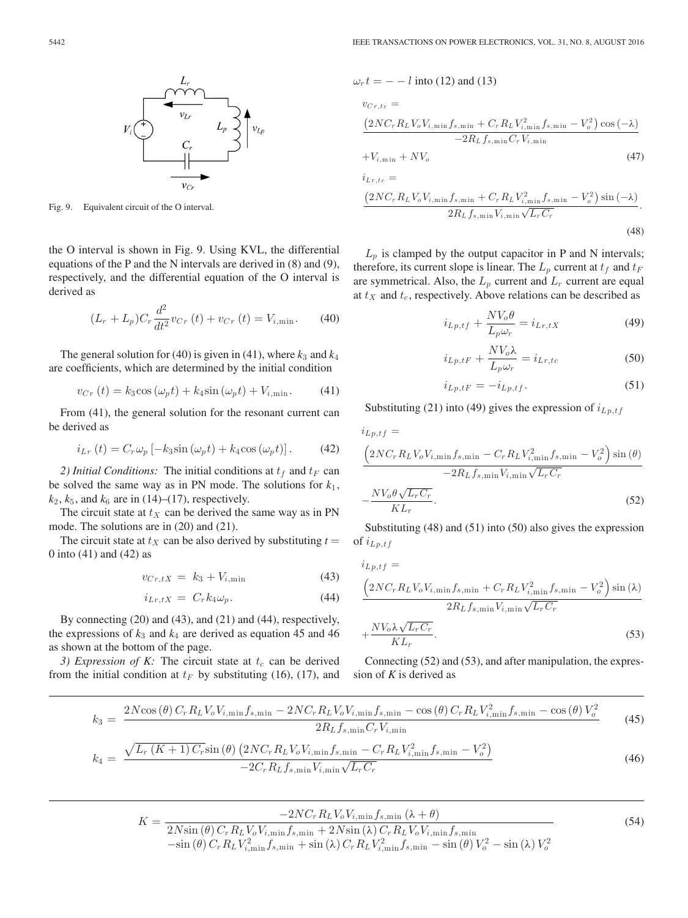

Fig. 9. Equivalent circuit of the O interval.

the O interval is shown in Fig. 9. Using KVL, the differential equations of the P and the N intervals are derived in (8) and (9), respectively, and the differential equation of the O interval is derived as

$$
(L_r + L_p)C_r \frac{d^2}{dt^2} v_{Cr}(t) + v_{Cr}(t) = V_{i, \text{min}}.
$$
 (40)

The general solution for (40) is given in (41), where  $k_3$  and  $k_4$ are coefficients, which are determined by the initial condition

$$
v_{Cr}(t) = k_3 \cos(\omega_p t) + k_4 \sin(\omega_p t) + V_{i,\min}.
$$
 (41)

From (41), the general solution for the resonant current can be derived as

$$
i_{Lr}(t) = C_r \omega_p \left[ -k_3 \sin \left( \omega_p t \right) + k_4 \cos \left( \omega_p t \right) \right]. \tag{42}
$$

2) *Initial Conditions:* The initial conditions at  $t_f$  and  $t_F$  can be solved the same way as in PN mode. The solutions for  $k_1$ ,  $k_2$ ,  $k_5$ , and  $k_6$  are in (14)–(17), respectively.

The circuit state at  $t_X$  can be derived the same way as in PN mode. The solutions are in (20) and (21).

The circuit state at  $t_X$  can be also derived by substituting  $t =$ 0 into (41) and (42) as

$$
v_{Cr,tX} = k_3 + V_{i,\min} \tag{43}
$$

$$
i_{Lr,tX} = C_r k_4 \omega_p. \tag{44}
$$

By connecting (20) and (43), and (21) and (44), respectively, the expressions of  $k_3$  and  $k_4$  are derived as equation 45 and 46 as shown at the bottom of the page.

*3) Expression of K:* The circuit state at  $t_c$  can be derived from the initial condition at  $t_F$  by substituting (16), (17), and

 $k_4$ 

$$
\omega_r t = -l \text{ into (12) and (13)}
$$
  
\n
$$
v_{Cr,tc} =
$$
  
\n
$$
\frac{(2NC_rR_LV_oV_{i,\min}f_{s,\min} + C_rR_LV_{i,\min}^2f_{s,\min} - V_o^2)\cos(-\lambda)}{-2R_Lf_{s,\min}C_rV_{i,\min}}
$$
  
\n
$$
+V_{i,\min} + NV_o
$$
  
\n
$$
i_{Lr,tc} =
$$
\n(47)

$$
\frac{\left(2NC_{r}R_{L}V_{o}V_{i,\min}f_{s,\min} + C_{r}R_{L}V_{i,\min}^{2}f_{s,\min} - V_{o}^{2}\right)\sin\left(-\lambda\right)}{2R_{L}f_{s,\min}V_{i,\min}\sqrt{L_{r}C_{r}}}
$$
\n(48)

 $L_p$  is clamped by the output capacitor in P and N intervals; therefore, its current slope is linear. The  $L_p$  current at  $t_f$  and  $t_F$ are symmetrical. Also, the  $L_p$  current and  $L_r$  current are equal at  $t_X$  and  $t_c$ , respectively. Above relations can be described as

$$
i_{Lp,tf} + \frac{NV_o \theta}{L_p \omega_r} = i_{Lr,tX}
$$
\n(49)

$$
i_{Lp, tF} + \frac{NV_o \lambda}{L_p \omega_r} = i_{Lr, tc}
$$
\n(50)

$$
i_{Lp,tF} = -i_{Lp,tf}.\tag{51}
$$

Substituting (21) into (49) gives the expression of  $i_{Lp,tf}$ 

$$
i_{Lp,tf} = \frac{\left(2NC_rR_LV_oV_{i,\min}f_{s,\min} - C_rR_LV_{i,\min}^2f_{s,\min} - V_o^2\right)\sin(\theta)}{-2R_Lf_{s,\min}V_{i,\min}\sqrt{L_rC_r}}
$$

$$
-\frac{NV_o\theta\sqrt{L_rC_r}}{KL_r}.
$$
(52)

Substituting (48) and (51) into (50) also gives the expression of  $i_{Lp,tf}$ 

$$
i_{Lp,tf} = \frac{\left(2NC_rR_LV_oV_{i,\min}f_{s,\min} + C_rR_LV_{i,\min}^2f_{s,\min} - V_o^2\right)\sin(\lambda)}{2R_Lf_{s,\min}V_{i,\min}\sqrt{L_rC_r}} + \frac{NV_o\lambda\sqrt{L_rC_r}}{KT}.
$$
\n(53)

Connecting (52) and (53), and after manipulation, the expression of *K* is derived as

$$
k_3 = \frac{2N\cos(\theta) C_r R_L V_o V_{i,\min} f_{s,\min} - 2N C_r R_L V_o V_{i,\min} f_{s,\min} - \cos(\theta) C_r R_L V_{i,\min}^2 f_{s,\min} - \cos(\theta) V_o^2}{2R_L f_{s,\min} C_r V_{i,\min}}
$$
(45)

$$
= \frac{\sqrt{L_r\left(K+1\right)C_r}\sin\left(\theta\right)\left(2NC_rR_LV_oV_{i,\min}f_{s,\min} - C_rR_LV_{i,\min}^2f_{s,\min} - V_o^2\right)}{-2C_rR_Lf_{s,\min}V_{i,\min}\sqrt{L_rC_r}}\tag{46}
$$

 $KL_r$ 

$$
K = \frac{-2NC_rR_LV_oV_{i,\min}f_{s,\min}\left(\lambda + \theta\right)}{2N\sin\left(\theta\right)C_rR_LV_oV_{i,\min}f_{s,\min} + 2N\sin\left(\lambda\right)C_rR_LV_oV_{i,\min}f_{s,\min}} - \sin\left(\theta\right)C_rR_LV_{i,\min}^2f_{s,\min} + \sin\left(\lambda\right)C_rR_LV_{i,\min}^2f_{s,\min} - \sin\left(\theta\right)V_o^2 - \sin\left(\lambda\right)V_o^2}
$$
\n(54)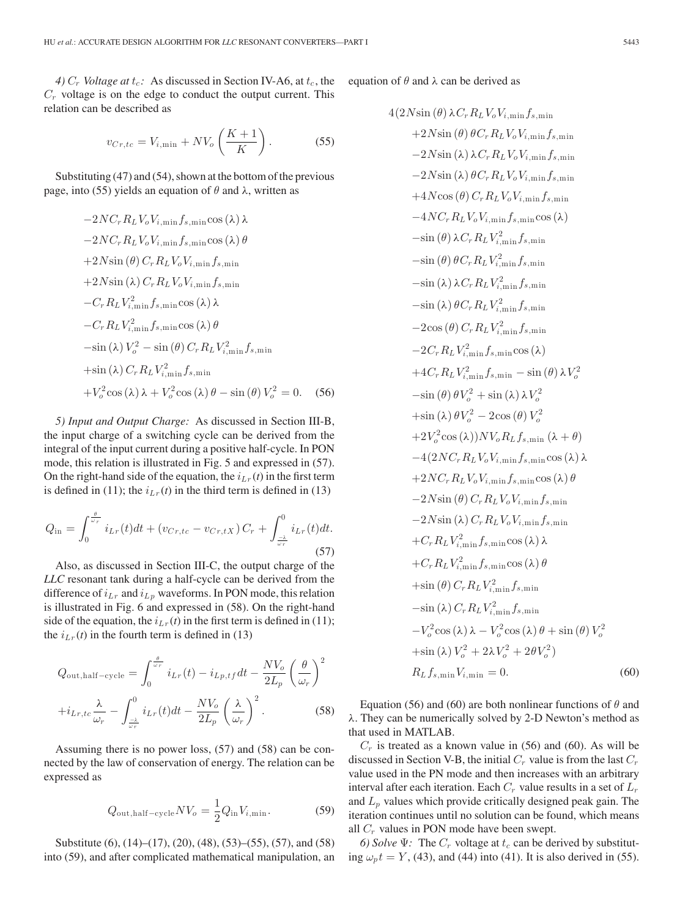*4)*  $C_r$  *Voltage at*  $t_c$ : As discussed in Section IV-A6, at  $t_c$ , the  $C_r$  voltage is on the edge to conduct the output current. This relation can be described as

$$
v_{Cr,tc} = V_{i,\min} + NV_o\left(\frac{K+1}{K}\right). \tag{55}
$$

Substituting (47) and (54), shown at the bottom of the previous page, into (55) yields an equation of  $\theta$  and  $\lambda$ , written as

$$
-2NC_rR_LV_oV_{i,\min}f_{s,\min}\cos(\lambda) \lambda
$$
  
\n
$$
-2NC_rR_LV_oV_{i,\min}f_{s,\min}\cos(\lambda)\theta
$$
  
\n
$$
+2N\sin(\theta) C_rR_LV_oV_{i,\min}f_{s,\min}
$$
  
\n
$$
+2N\sin(\lambda) C_rR_LV_oV_{i,\min}f_{s,\min}
$$
  
\n
$$
-C_rR_LV_{i,\min}^2f_{s,\min}\cos(\lambda)\lambda
$$
  
\n
$$
-C_rR_LV_{i,\min}^2f_{s,\min}\cos(\lambda)\theta
$$
  
\n
$$
-\sin(\lambda)V_o^2 - \sin(\theta) C_rR_LV_{i,\min}^2f_{s,\min}
$$
  
\n
$$
+\sin(\lambda) C_rR_LV_{i,\min}^2f_{s,\min}
$$
  
\n
$$
+V_o^2\cos(\lambda)\lambda + V_o^2\cos(\lambda)\theta - \sin(\theta)V_o^2 = 0.
$$
 (56)

*5) Input and Output Charge:* As discussed in Section III-B, the input charge of a switching cycle can be derived from the integral of the input current during a positive half-cycle. In PON mode, this relation is illustrated in Fig. 5 and expressed in (57). On the right-hand side of the equation, the  $i_{Lr}(t)$  in the first term is defined in (11); the  $i_{Lr}(t)$  in the third term is defined in (13)

$$
Q_{\rm in} = \int_0^{\frac{\theta}{\omega_r}} i_{Lr}(t)dt + (v_{Cr,tc} - v_{Cr,tX})C_r + \int_{\frac{-\lambda}{\omega_r}}^0 i_{Lr}(t)dt.
$$
\n(57)

Also, as discussed in Section III-C, the output charge of the *LLC* resonant tank during a half-cycle can be derived from the difference of  $i_{Lr}$  and  $i_{Lp}$  waveforms. In PON mode, this relation is illustrated in Fig. 6 and expressed in (58). On the right-hand side of the equation, the  $i_{Lr}(t)$  in the first term is defined in (11); the  $i_{Lr}(t)$  in the fourth term is defined in (13)

$$
Q_{\text{out,half-cycle}} = \int_0^{\frac{\theta}{\omega_r}} i_{Lr}(t) - i_{Lp,tf} dt - \frac{NV_o}{2L_p} \left(\frac{\theta}{\omega_r}\right)^2
$$

$$
+ i_{Lr,tc} \frac{\lambda}{\omega_r} - \int_{\frac{-\lambda}{\omega_r}}^0 i_{Lr}(t) dt - \frac{NV_o}{2L_p} \left(\frac{\lambda}{\omega_r}\right)^2.
$$
(58)

Assuming there is no power loss, (57) and (58) can be connected by the law of conservation of energy. The relation can be expressed as

$$
Q_{\text{out,half-cycle}}NV_o = \frac{1}{2}Q_{\text{in}}V_{i,\text{min}}.\tag{59}
$$

Substitute (6), (14)–(17), (20), (48), (53)–(55), (57), and (58) into (59), and after complicated mathematical manipulation, an equation of  $\theta$  and  $\lambda$  can be derived as

4
$$
(2N\sin(\theta) \lambda C_r R_L V_o V_{i,\text{min}} f_{s,\text{min}}
$$
  
\n+2Nsin $(\theta) \theta C_r R_L V_o V_{i,\text{min}} f_{s,\text{min}}$   
\n-2Nsin $(\lambda) \lambda C_r R_L V_o V_{i,\text{min}} f_{s,\text{min}}$   
\n-2Nsin $(\lambda) \theta C_r R_L V_o V_{i,\text{min}} f_{s,\text{min}}$   
\n+4Ncos $(\theta) C_r R_L V_o V_{i,\text{min}} f_{s,\text{min}}$   
\n-4NC<sub>r</sub>R<sub>L</sub>V<sub>o</sub>V<sub>i,\text{min}} f\_{s,\text{min}}  
\n-sin $(\theta) \lambda C_r R_L V_{i,\text{min}}^2 f_{s,\text{min}}$   
\n-sin $(\theta) \theta C_r R_L V_{i,\text{min}}^2 f_{s,\text{min}}$   
\n-sin $(\lambda) \lambda C_r R_L V_{i,\text{min}}^2 f_{s,\text{min}}$   
\n-sin $(\lambda) \theta C_r R_L V_{i,\text{min}}^2 f_{s,\text{min}}$   
\n-2cos $(\theta) C_r R_L V_{i,\text{min}}^2 f_{s,\text{min}}$   
\n-2cos $(\theta) C_r R_L V_{i,\text{min}}^2 f_{s,\text{min}}$   
\n-2C<sub>r</sub>R<sub>L</sub>V<sub>i,\text{min}}^2 f\_{s,\text{min}}  
\n-2C<sub>r</sub>R<sub>L</sub>V<sub>i,\text{min}}^2 f\_{s,\text{min}} - sin $(\theta) \lambda V_o^2$   
\n+sin $(\lambda) \theta V_o^2$  + sin $(\lambda) \lambda V_o^2$   
\n+sin $(\lambda) \theta V_o^2$  - 2cos $(\theta) V_o^2$   
\n+2V<sub>o</sub><sup>2</sup>cos $(\lambda)$ ) $NV_o R_L f_{s,\text{min}}^2(\lambda + \theta)$   
\n-4 $(2NC_r R_L V_o V_{i,\text{min}} f_{s,\text{min}}^2 \cos(\lambda) \lambda$   
\n+2NC<sub>r</sub>R<sub>L</sub>V<sub>o</sub>V<sub>i,\text{min}}^2 f\_{s,\text{min}}cos</sub></sub></sub></sub>

Equation (56) and (60) are both nonlinear functions of  $\theta$  and λ. They can be numerically solved by 2-D Newton's method as that used in MATLAB.

 $C_r$  is treated as a known value in (56) and (60). As will be discussed in Section V-B, the initial  $C_r$  value is from the last  $C_r$ value used in the PN mode and then increases with an arbitrary interval after each iteration. Each  $C_r$  value results in a set of  $L_r$ and  $L_p$  values which provide critically designed peak gain. The iteration continues until no solution can be found, which means all  $C_r$  values in PON mode have been swept.

*6) Solve*  $\Psi$ : The  $C_r$  voltage at  $t_c$  can be derived by substituting  $\omega_p t = Y$ , (43), and (44) into (41). It is also derived in (55).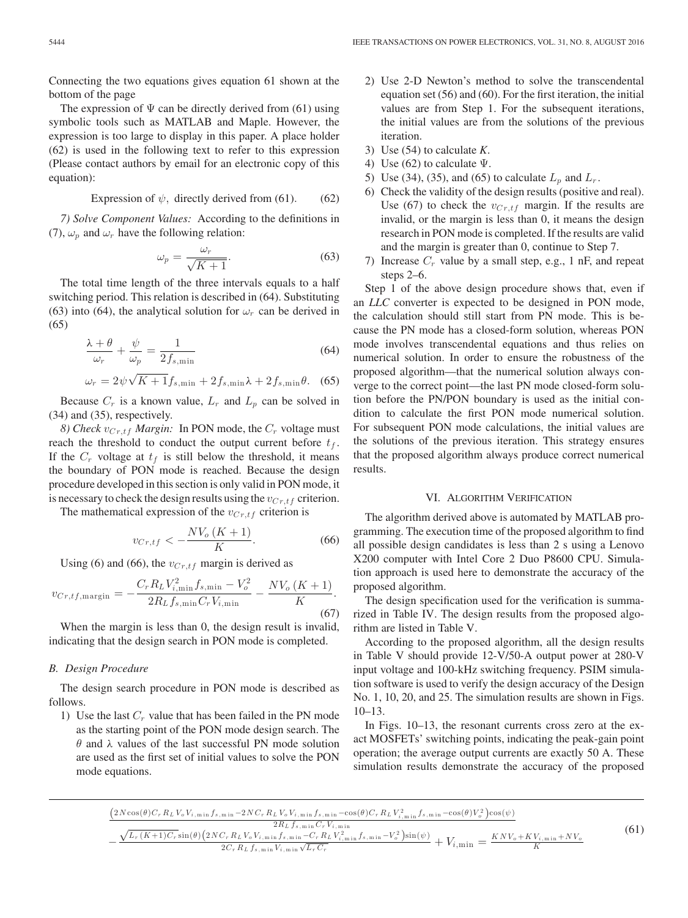Connecting the two equations gives equation 61 shown at the bottom of the page

The expression of  $\Psi$  can be directly derived from (61) using symbolic tools such as MATLAB and Maple. However, the expression is too large to display in this paper. A place holder (62) is used in the following text to refer to this expression (Please contact authors by email for an electronic copy of this equation):

Expression of 
$$
\psi
$$
, directly derived from (61). (62)

*7) Solve Component Values:* According to the definitions in (7),  $\omega_p$  and  $\omega_r$  have the following relation:

$$
\omega_p = \frac{\omega_r}{\sqrt{K+1}}.\tag{63}
$$

The total time length of the three intervals equals to a half switching period. This relation is described in (64). Substituting (63) into (64), the analytical solution for  $\omega_r$  can be derived in (65)

$$
\frac{\lambda + \theta}{\omega_r} + \frac{\psi}{\omega_p} = \frac{1}{2f_{s,\min}}
$$
\n(64)

$$
\omega_r = 2\psi\sqrt{K+1}f_{s,\min} + 2f_{s,\min}\lambda + 2f_{s,\min}\theta.
$$
 (65)

Because  $C_r$  is a known value,  $L_r$  and  $L_p$  can be solved in (34) and (35), respectively.

*8) Check*  $v_{Cr, tf}$  *Margin:* In PON mode, the  $C_r$  voltage must reach the threshold to conduct the output current before  $t_f$ . If the  $C_r$  voltage at  $t_f$  is still below the threshold, it means the boundary of PON mode is reached. Because the design procedure developed in this section is only valid in PON mode, it is necessary to check the design results using the  $v_{Cr,t}$  criterion.

The mathematical expression of the  $v_{Cr,t}$  criterion is

$$
v_{Cr,tf} < -\frac{NV_o\left(K+1\right)}{K}.\tag{66}
$$

Using (6) and (66), the  $v_{Cr,t}$  margin is derived as

$$
v_{Cr,tf,\text{margin}} = -\frac{C_r R_L V_{i,\text{min}}^2 f_{s,\text{min}} - V_o^2}{2R_L f_{s,\text{min}} C_r V_{i,\text{min}}} - \frac{N V_o (K+1)}{K}.
$$
\n(67)

When the margin is less than 0, the design result is invalid, indicating that the design search in PON mode is completed.

## *B. Design Procedure*

The design search procedure in PON mode is described as follows.

1) Use the last  $C_r$  value that has been failed in the PN mode as the starting point of the PON mode design search. The θ and λ values of the last successful PN mode solution are used as the first set of initial values to solve the PON mode equations.

- 2) Use 2-D Newton's method to solve the transcendental equation set (56) and (60). For the first iteration, the initial values are from Step 1. For the subsequent iterations, the initial values are from the solutions of the previous iteration.
- 3) Use (54) to calculate *K*.
- 4) Use (62) to calculate  $\Psi$ .
- 5) Use (34), (35), and (65) to calculate  $L_p$  and  $L_r$ .
- 6) Check the validity of the design results (positive and real). Use (67) to check the  $v_{Cr,tf}$  margin. If the results are invalid, or the margin is less than 0, it means the design research in PON mode is completed. If the results are valid and the margin is greater than 0, continue to Step 7.
- 7) Increase  $C_r$  value by a small step, e.g., 1 nF, and repeat steps 2–6.

Step 1 of the above design procedure shows that, even if an *LLC* converter is expected to be designed in PON mode, the calculation should still start from PN mode. This is because the PN mode has a closed-form solution, whereas PON mode involves transcendental equations and thus relies on numerical solution. In order to ensure the robustness of the proposed algorithm—that the numerical solution always converge to the correct point—the last PN mode closed-form solution before the PN/PON boundary is used as the initial condition to calculate the first PON mode numerical solution. For subsequent PON mode calculations, the initial values are the solutions of the previous iteration. This strategy ensures that the proposed algorithm always produce correct numerical results.

### VI. ALGORITHM VERIFICATION

The algorithm derived above is automated by MATLAB programming. The execution time of the proposed algorithm to find all possible design candidates is less than 2 s using a Lenovo X200 computer with Intel Core 2 Duo P8600 CPU. Simulation approach is used here to demonstrate the accuracy of the proposed algorithm.

The design specification used for the verification is summarized in Table IV. The design results from the proposed algorithm are listed in Table V.

According to the proposed algorithm, all the design results in Table V should provide 12-V/50-A output power at 280-V input voltage and 100-kHz switching frequency. PSIM simulation software is used to verify the design accuracy of the Design No. 1, 10, 20, and 25. The simulation results are shown in Figs. 10–13.

In Figs. 10–13, the resonant currents cross zero at the exact MOSFETs' switching points, indicating the peak-gain point operation; the average output currents are exactly 50 A. These simulation results demonstrate the accuracy of the proposed

$$
\frac{(2N\cos(\theta)C_{r}R_{L}V_{o}V_{i,\min}f_{s,\min}-2NC_{r}R_{L}V_{o}V_{i,\min}f_{s,\min}-\cos(\theta)C_{r}R_{L}V_{i,\min}^{2}f_{s,\min}-\cos(\theta)V_{o}^{2})\cos(\psi)}{2R_{L}f_{s,\min}C_{r}V_{i,\min}f_{s,\min}-C_{r}R_{L}V_{i,\min}^{2}f_{s,\min}-V_{o}^{2})\sin(\psi)} + V_{i,\min} = \frac{KNV_{o}+KV_{i,\min}+NV_{o}}{K}
$$
\n(61)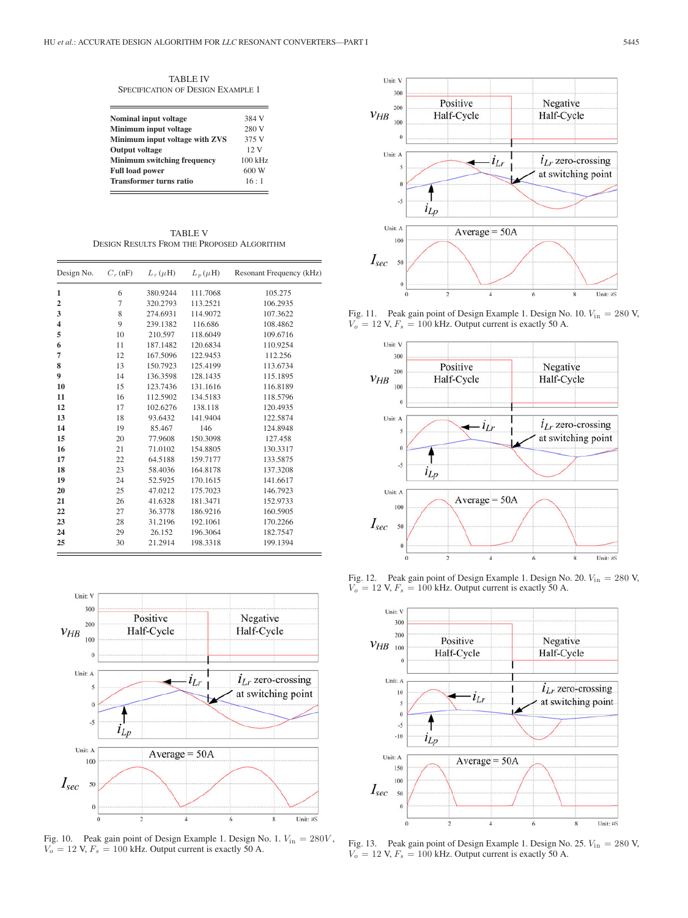TABLE IV SPECIFICATION OF DESIGN EXAMPLE 1

| Nominal input voltage              | 384 V          |
|------------------------------------|----------------|
| Minimum input voltage              | 280 V          |
| Minimum input voltage with ZVS     | 375 V          |
| <b>Output voltage</b>              | $12 \text{ V}$ |
| <b>Minimum switching frequency</b> | $100$ kHz      |
| <b>Full load power</b>             | 600 W          |
| <b>Transformer turns ratio</b>     | $16 \cdot 1$   |
|                                    |                |

TABLE V DESIGN RESULTS FROM THE PROPOSED ALGORITHM

| Design No.              | $C_r$ (nF) | $L_r(\mu H)$ | $L_p(\mu H)$ | Resonant Frequency (kHz) |
|-------------------------|------------|--------------|--------------|--------------------------|
| 1                       | 6          | 380.9244     | 111.7068     | 105.275                  |
| $\overline{2}$          | 7          | 320.2793     | 113.2521     | 106.2935                 |
| 3                       | 8          | 274.6931     | 114.9072     | 107.3622                 |
| $\overline{\mathbf{4}}$ | 9          | 239.1382     | 116.686      | 108.4862                 |
| 5                       | 10         | 210.597      | 118.6049     | 109.6716                 |
| 6                       | 11         | 187.1482     | 120.6834     | 110.9254                 |
| 7                       | 12         | 167.5096     | 122.9453     | 112.256                  |
| 8                       | 13         | 150.7923     | 125.4199     | 113.6734                 |
| 9                       | 14         | 136.3598     | 128.1435     | 115.1895                 |
| 10                      | 15         | 123.7436     | 131.1616     | 116.8189                 |
| 11                      | 16         | 112.5902     | 134.5183     | 118.5796                 |
| 12                      | 17         | 102.6276     | 138.118      | 120.4935                 |
| 13                      | 18         | 93.6432      | 141.9404     | 122.5874                 |
| 14                      | 19         | 85.467       | 146          | 124.8948                 |
| 15                      | 20         | 77.9608      | 150.3098     | 127.458                  |
| 16                      | 21         | 71.0102      | 154.8805     | 130.3317                 |
| 17                      | 22         | 64.5188      | 159.7177     | 133.5875                 |
| 18                      | 23         | 58.4036      | 164.8178     | 137.3208                 |
| 19                      | 24         | 52.5925      | 170.1615     | 141.6617                 |
| 20                      | 25         | 47.0212      | 175.7023     | 146.7923                 |
| 21                      | 26         | 41.6328      | 181.3471     | 152.9733                 |
| 22                      | 27         | 36.3778      | 186.9216     | 160.5905                 |
| 23                      | 28         | 31.2196      | 192.1061     | 170.2266                 |
| 24                      | 29         | 26.152       | 196.3064     | 182.7547                 |
| 25                      | 30         | 21.2914      | 198.3318     | 199.1394                 |
|                         |            |              |              |                          |



Fig. 10. Peak gain point of Design Example 1. Design No. 1.  $V_{\text{in}} = 280V$ ,  $V_o = 12$  V,  $F_s = 100$  kHz. Output current is exactly 50 A.



Fig. 11. Peak gain point of Design Example 1. Design No. 10.  $V_{\text{in}} = 280 \text{ V}$ ,  $V_o = 12$  V,  $F_s = 100$  kHz. Output current is exactly 50 A.



Fig. 12. Peak gain point of Design Example 1. Design No. 20.  $V_{\text{in}} = 280 \text{ V}$ ,  $V_o = 12$  V,  $F_s = 100$  kHz. Output current is exactly 50 A.



Fig. 13. Peak gain point of Design Example 1. Design No. 25.  $V_{\text{in}} = 280 \text{ V}$ ,  $V_o = 12$  V,  $F_s = 100$  kHz. Output current is exactly 50 A.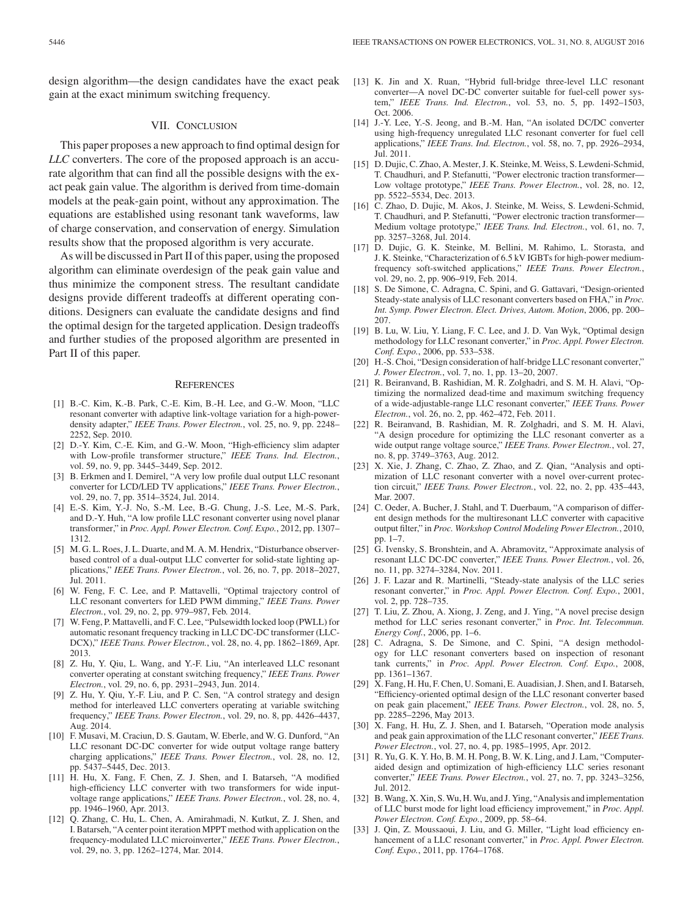design algorithm—the design candidates have the exact peak gain at the exact minimum switching frequency.

# VII. CONCLUSION

This paper proposes a new approach to find optimal design for *LLC* converters. The core of the proposed approach is an accurate algorithm that can find all the possible designs with the exact peak gain value. The algorithm is derived from time-domain models at the peak-gain point, without any approximation. The equations are established using resonant tank waveforms, law of charge conservation, and conservation of energy. Simulation results show that the proposed algorithm is very accurate.

As will be discussed in Part II of this paper, using the proposed algorithm can eliminate overdesign of the peak gain value and thus minimize the component stress. The resultant candidate designs provide different tradeoffs at different operating conditions. Designers can evaluate the candidate designs and find the optimal design for the targeted application. Design tradeoffs and further studies of the proposed algorithm are presented in Part II of this paper.

#### **REFERENCES**

- [1] B.-C. Kim, K.-B. Park, C.-E. Kim, B.-H. Lee, and G.-W. Moon, "LLC resonant converter with adaptive link-voltage variation for a high-powerdensity adapter," *IEEE Trans. Power Electron.*, vol. 25, no. 9, pp. 2248– 2252, Sep. 2010.
- [2] D.-Y. Kim, C.-E. Kim, and G.-W. Moon, "High-efficiency slim adapter with Low-profile transformer structure," *IEEE Trans. Ind. Electron.*, vol. 59, no. 9, pp. 3445–3449, Sep. 2012.
- B. Erkmen and I. Demirel, "A very low profile dual output LLC resonant converter for LCD/LED TV applications," *IEEE Trans. Power Electron.*, vol. 29, no. 7, pp. 3514–3524, Jul. 2014.
- [4] E.-S. Kim, Y.-J. No, S.-M. Lee, B.-G. Chung, J.-S. Lee, M.-S. Park, and D.-Y. Huh, "A low profile LLC resonant converter using novel planar transformer," in *Proc. Appl. Power Electron. Conf. Expo.*, 2012, pp. 1307– 1312.
- [5] M. G. L. Roes, J. L. Duarte, and M. A. M. Hendrix, "Disturbance observerbased control of a dual-output LLC converter for solid-state lighting applications," *IEEE Trans. Power Electron.*, vol. 26, no. 7, pp. 2018–2027, Jul. 2011.
- [6] W. Feng, F. C. Lee, and P. Mattavelli, "Optimal trajectory control of LLC resonant converters for LED PWM dimming," *IEEE Trans. Power Electron.*, vol. 29, no. 2, pp. 979–987, Feb. 2014.
- [7] W. Feng, P. Mattavelli, and F. C. Lee, "Pulsewidth locked loop (PWLL) for automatic resonant frequency tracking in LLC DC-DC transformer (LLC-DCX)," *IEEE Trans. Power Electron.*, vol. 28, no. 4, pp. 1862–1869, Apr. 2013.
- [8] Z. Hu, Y. Qiu, L. Wang, and Y.-F. Liu, "An interleaved LLC resonant converter operating at constant switching frequency," *IEEE Trans. Power Electron.*, vol. 29, no. 6, pp. 2931–2943, Jun. 2014.
- [9] Z. Hu, Y. Qiu, Y.-F. Liu, and P. C. Sen, "A control strategy and design method for interleaved LLC converters operating at variable switching frequency," *IEEE Trans. Power Electron.*, vol. 29, no. 8, pp. 4426–4437, Aug. 2014.
- [10] F. Musavi, M. Craciun, D. S. Gautam, W. Eberle, and W. G. Dunford, "An LLC resonant DC-DC converter for wide output voltage range battery charging applications," *IEEE Trans. Power Electron.*, vol. 28, no. 12, pp. 5437–5445, Dec. 2013.
- [11] H. Hu, X. Fang, F. Chen, Z. J. Shen, and I. Batarseh, "A modified high-efficiency LLC converter with two transformers for wide inputvoltage range applications," *IEEE Trans. Power Electron.*, vol. 28, no. 4, pp. 1946–1960, Apr. 2013.
- [12] Q. Zhang, C. Hu, L. Chen, A. Amirahmadi, N. Kutkut, Z. J. Shen, and I. Batarseh, "A center point iteration MPPT method with application on the frequency-modulated LLC microinverter," *IEEE Trans. Power Electron.*, vol. 29, no. 3, pp. 1262–1274, Mar. 2014.
- [13] K. Jin and X. Ruan, "Hybrid full-bridge three-level LLC resonant converter—A novel DC-DC converter suitable for fuel-cell power system," *IEEE Trans. Ind. Electron.*, vol. 53, no. 5, pp. 1492–1503, Oct. 2006.
- [14] J.-Y. Lee, Y.-S. Jeong, and B.-M. Han, "An isolated DC/DC converter using high-frequency unregulated LLC resonant converter for fuel cell applications," *IEEE Trans. Ind. Electron.*, vol. 58, no. 7, pp. 2926–2934, Jul. 2011.
- [15] D. Dujic, C. Zhao, A. Mester, J. K. Steinke, M. Weiss, S. Lewdeni-Schmid, T. Chaudhuri, and P. Stefanutti, "Power electronic traction transformer— Low voltage prototype," *IEEE Trans. Power Electron.*, vol. 28, no. 12, pp. 5522–5534, Dec. 2013.
- [16] C. Zhao, D. Dujic, M. Akos, J. Steinke, M. Weiss, S. Lewdeni-Schmid, T. Chaudhuri, and P. Stefanutti, "Power electronic traction transformer— Medium voltage prototype," *IEEE Trans. Ind. Electron.*, vol. 61, no. 7, pp. 3257–3268, Jul. 2014.
- [17] D. Dujic, G. K. Steinke, M. Bellini, M. Rahimo, L. Storasta, and J. K. Steinke, "Characterization of 6.5 kV IGBTs for high-power mediumfrequency soft-switched applications," *IEEE Trans. Power Electron.*, vol. 29, no. 2, pp. 906–919, Feb. 2014.
- [18] S. De Simone, C. Adragna, C. Spini, and G. Gattavari, "Design-oriented Steady-state analysis of LLC resonant converters based on FHA," in *Proc. Int. Symp. Power Electron. Elect. Drives, Autom. Motion*, 2006, pp. 200– 207.
- [19] B. Lu, W. Liu, Y. Liang, F. C. Lee, and J. D. Van Wyk, "Optimal design methodology for LLC resonant converter," in *Proc. Appl. Power Electron. Conf. Expo.*, 2006, pp. 533–538.
- [20] H.-S. Choi, "Design consideration of half-bridge LLC resonant converter," *J. Power Electron.*, vol. 7, no. 1, pp. 13–20, 2007.
- [21] R. Beiranvand, B. Rashidian, M. R. Zolghadri, and S. M. H. Alavi, "Optimizing the normalized dead-time and maximum switching frequency of a wide-adjustable-range LLC resonant converter," *IEEE Trans. Power Electron.*, vol. 26, no. 2, pp. 462–472, Feb. 2011.
- [22] R. Beiranvand, B. Rashidian, M. R. Zolghadri, and S. M. H. Alavi, "A design procedure for optimizing the LLC resonant converter as a wide output range voltage source," *IEEE Trans. Power Electron.*, vol. 27, no. 8, pp. 3749–3763, Aug. 2012.
- [23] X. Xie, J. Zhang, C. Zhao, Z. Zhao, and Z. Qian, "Analysis and optimization of LLC resonant converter with a novel over-current protection circuit," *IEEE Trans. Power Electron.*, vol. 22, no. 2, pp. 435–443, Mar. 2007.
- [24] C. Oeder, A. Bucher, J. Stahl, and T. Duerbaum, "A comparison of different design methods for the multiresonant LLC converter with capacitive output filter," in *Proc. Workshop Control Modeling Power Electron.*, 2010, pp. 1–7.
- [25] G. Ivensky, S. Bronshtein, and A. Abramovitz, "Approximate analysis of resonant LLC DC-DC converter," *IEEE Trans. Power Electron.*, vol. 26, no. 11, pp. 3274–3284, Nov. 2011.
- [26] J. F. Lazar and R. Martinelli, "Steady-state analysis of the LLC series resonant converter," in *Proc. Appl. Power Electron. Conf. Expo.*, 2001, vol. 2, pp. 728–735.
- [27] T. Liu, Z. Zhou, A. Xiong, J. Zeng, and J. Ying, "A novel precise design method for LLC series resonant converter," in *Proc. Int. Telecommun. Energy Conf.*, 2006, pp. 1–6.
- [28] C. Adragna, S. De Simone, and C. Spini, "A design methodology for LLC resonant converters based on inspection of resonant tank currents," in *Proc. Appl. Power Electron. Conf. Expo.*, 2008, pp. 1361–1367.
- [29] X. Fang, H. Hu, F. Chen, U. Somani, E. Auadisian, J. Shen, and I. Batarseh, "Efficiency-oriented optimal design of the LLC resonant converter based on peak gain placement," *IEEE Trans. Power Electron.*, vol. 28, no. 5, pp. 2285–2296, May 2013.
- [30] X. Fang, H. Hu, Z. J. Shen, and I. Batarseh, "Operation mode analysis and peak gain approximation of the LLC resonant converter," *IEEE Trans. Power Electron.*, vol. 27, no. 4, pp. 1985–1995, Apr. 2012.
- [31] R. Yu, G. K. Y. Ho, B. M. H. Pong, B. W. K. Ling, and J. Lam, "Computeraided design and optimization of high-efficiency LLC series resonant converter," *IEEE Trans. Power Electron.*, vol. 27, no. 7, pp. 3243–3256, Jul. 2012.
- [32] B. Wang, X. Xin, S. Wu, H. Wu, and J. Ying, "Analysis and implementation of LLC burst mode for light load efficiency improvement," in *Proc. Appl. Power Electron. Conf. Expo.*, 2009, pp. 58–64.
- [33] J. Qin, Z. Moussaoui, J. Liu, and G. Miller, "Light load efficiency enhancement of a LLC resonant converter," in *Proc. Appl. Power Electron. Conf. Expo.*, 2011, pp. 1764–1768.